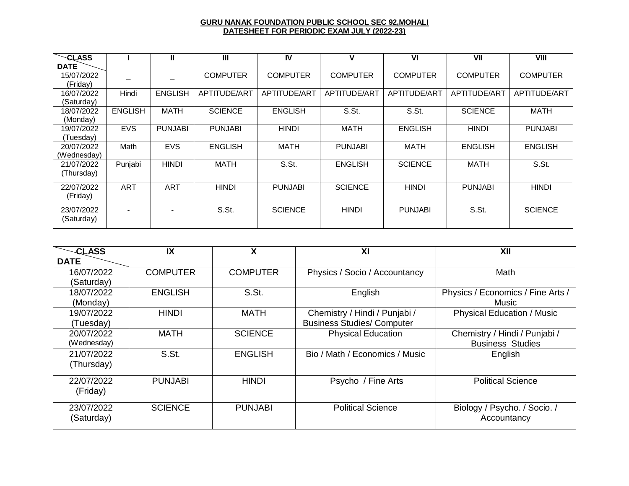## **GURU NANAK FOUNDATION PUBLIC SCHOOL SEC 92,MOHALI DATESHEET FOR PERIODIC EXAM JULY (2022-23)**

| <b>CLASS</b> |                          | Ш              | $\mathbf{m}$    | IV              | v               | VI                  | VII             | VIII            |
|--------------|--------------------------|----------------|-----------------|-----------------|-----------------|---------------------|-----------------|-----------------|
| <b>DATE</b>  |                          |                |                 |                 |                 |                     |                 |                 |
| 15/07/2022   |                          |                | <b>COMPUTER</b> | <b>COMPUTER</b> | <b>COMPUTER</b> | <b>COMPUTER</b>     | <b>COMPUTER</b> | <b>COMPUTER</b> |
| (Friday)     |                          |                |                 |                 |                 |                     |                 |                 |
| 16/07/2022   | Hindi                    | <b>ENGLISH</b> | APTITUDE/ART    | APTITUDE/ART    | APTITUDE/ART    | <b>APTITUDE/ART</b> | APTITUDE/ART    | APTITUDE/ART    |
| (Saturdav)   |                          |                |                 |                 |                 |                     |                 |                 |
| 18/07/2022   | <b>ENGLISH</b>           | <b>MATH</b>    | <b>SCIENCE</b>  | <b>ENGLISH</b>  | S.St.           | S.St.               | <b>SCIENCE</b>  | <b>MATH</b>     |
| (Monday)     |                          |                |                 |                 |                 |                     |                 |                 |
| 19/07/2022   | <b>EVS</b>               | <b>PUNJABI</b> | <b>PUNJABI</b>  | <b>HINDI</b>    | <b>MATH</b>     | <b>ENGLISH</b>      | <b>HINDI</b>    | <b>PUNJABI</b>  |
| (Tuesdav)    |                          |                |                 |                 |                 |                     |                 |                 |
| 20/07/2022   | Math                     | <b>EVS</b>     | <b>ENGLISH</b>  | <b>MATH</b>     | <b>PUNJABI</b>  | <b>MATH</b>         | <b>ENGLISH</b>  | <b>ENGLISH</b>  |
| (Wednesday)  |                          |                |                 |                 |                 |                     |                 |                 |
| 21/07/2022   | Punjabi                  | <b>HINDI</b>   | <b>MATH</b>     | S.St.           | <b>ENGLISH</b>  | <b>SCIENCE</b>      | <b>MATH</b>     | S.St.           |
| (Thursday)   |                          |                |                 |                 |                 |                     |                 |                 |
| 22/07/2022   | <b>ART</b>               | <b>ART</b>     | <b>HINDI</b>    | <b>PUNJABI</b>  | <b>SCIENCE</b>  | <b>HINDI</b>        | <b>PUNJABI</b>  | <b>HINDI</b>    |
| (Friday)     |                          |                |                 |                 |                 |                     |                 |                 |
| 23/07/2022   | $\overline{\phantom{0}}$ |                | S.St.           | <b>SCIENCE</b>  | <b>HINDI</b>    | <b>PUNJABI</b>      | S.St.           | <b>SCIENCE</b>  |
| (Saturday)   |                          |                |                 |                 |                 |                     |                 |                 |

| <b>CLASS</b> | IX              | X               | XI                                | XII                               |
|--------------|-----------------|-----------------|-----------------------------------|-----------------------------------|
| <b>DATE</b>  |                 |                 |                                   |                                   |
| 16/07/2022   | <b>COMPUTER</b> | <b>COMPUTER</b> | Physics / Socio / Accountancy     | Math                              |
| (Saturday)   |                 |                 |                                   |                                   |
| 18/07/2022   | <b>ENGLISH</b>  | S.St.           | English                           | Physics / Economics / Fine Arts / |
| (Monday)     |                 |                 |                                   | Music                             |
| 19/07/2022   | <b>HINDI</b>    | <b>MATH</b>     | Chemistry / Hindi / Punjabi /     | <b>Physical Education / Music</b> |
| (Tuesday)    |                 |                 | <b>Business Studies/ Computer</b> |                                   |
| 20/07/2022   | MATH            | <b>SCIENCE</b>  | <b>Physical Education</b>         | Chemistry / Hindi / Punjabi /     |
| (Wednesday)  |                 |                 |                                   | <b>Business Studies</b>           |
| 21/07/2022   | S.St.           | <b>ENGLISH</b>  | Bio / Math / Economics / Music    | English                           |
| (Thursday)   |                 |                 |                                   |                                   |
| 22/07/2022   | <b>PUNJABI</b>  | <b>HINDI</b>    | Psycho / Fine Arts                | <b>Political Science</b>          |
| (Friday)     |                 |                 |                                   |                                   |
| 23/07/2022   | <b>SCIENCE</b>  | <b>PUNJABI</b>  | <b>Political Science</b>          | Biology / Psycho. / Socio. /      |
| (Saturday)   |                 |                 |                                   | Accountancy                       |
|              |                 |                 |                                   |                                   |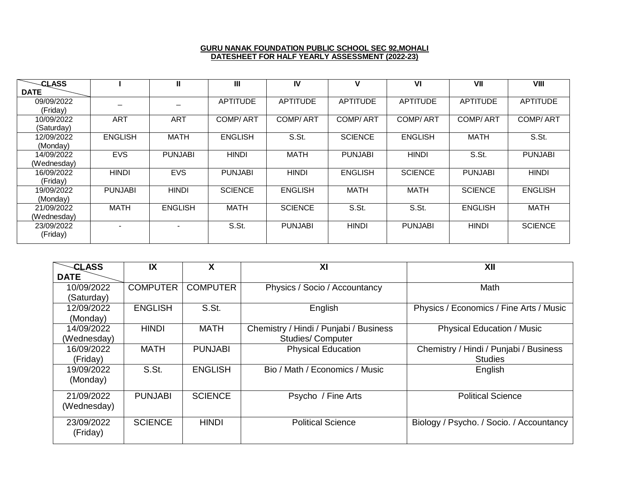## **GURU NANAK FOUNDATION PUBLIC SCHOOL SEC 92,MOHALI DATESHEET FOR HALF YEARLY ASSESSMENT (2022-23)**

| <b>CLASS</b> |                | Ш              | Ш               | IV              | V               | V <sub>l</sub>  | VII             | VIII            |
|--------------|----------------|----------------|-----------------|-----------------|-----------------|-----------------|-----------------|-----------------|
| <b>DATE</b>  |                |                |                 |                 |                 |                 |                 |                 |
| 09/09/2022   |                |                | <b>APTITUDE</b> | <b>APTITUDE</b> | <b>APTITUDE</b> | <b>APTITUDE</b> | <b>APTITUDE</b> | <b>APTITUDE</b> |
| (Friday)     |                |                |                 |                 |                 |                 |                 |                 |
| 10/09/2022   | <b>ART</b>     | <b>ART</b>     | <b>COMP/ART</b> | COMP/ART        | <b>COMP/ART</b> | <b>COMP/ART</b> | <b>COMP/ART</b> | <b>COMP/ART</b> |
| (Saturday)   |                |                |                 |                 |                 |                 |                 |                 |
| 12/09/2022   | <b>ENGLISH</b> | <b>MATH</b>    | <b>ENGLISH</b>  | S.St.           | <b>SCIENCE</b>  | <b>ENGLISH</b>  | <b>MATH</b>     | S.S.t.          |
| (Monday)     |                |                |                 |                 |                 |                 |                 |                 |
| 14/09/2022   | <b>EVS</b>     | <b>PUNJABI</b> | <b>HINDI</b>    | <b>MATH</b>     | <b>PUNJABI</b>  | <b>HINDI</b>    | S.St.           | <b>PUNJABI</b>  |
| (Wednesday)  |                |                |                 |                 |                 |                 |                 |                 |
| 16/09/2022   | <b>HINDI</b>   | <b>EVS</b>     | <b>PUNJABI</b>  | <b>HINDI</b>    | <b>ENGLISH</b>  | <b>SCIENCE</b>  | <b>PUNJABI</b>  | <b>HINDI</b>    |
| (Friday)     |                |                |                 |                 |                 |                 |                 |                 |
| 19/09/2022   | <b>PUNJABI</b> | <b>HINDI</b>   | <b>SCIENCE</b>  | <b>ENGLISH</b>  | <b>MATH</b>     | <b>MATH</b>     | <b>SCIENCE</b>  | <b>ENGLISH</b>  |
| (Monday)     |                |                |                 |                 |                 |                 |                 |                 |
| 21/09/2022   | <b>MATH</b>    | <b>ENGLISH</b> | <b>MATH</b>     | <b>SCIENCE</b>  | S.St.           | S.St.           | <b>ENGLISH</b>  | <b>MATH</b>     |
| (Wednesday)  |                |                |                 |                 |                 |                 |                 |                 |
| 23/09/2022   |                |                | S.St.           | <b>PUNJABI</b>  | <b>HINDI</b>    | <b>PUNJABI</b>  | <b>HINDI</b>    | <b>SCIENCE</b>  |
| (Friday)     |                |                |                 |                 |                 |                 |                 |                 |
|              |                |                |                 |                 |                 |                 |                 |                 |

| <b>CLASS</b> | IX              | x               | XI                                     | XII                                      |
|--------------|-----------------|-----------------|----------------------------------------|------------------------------------------|
| <b>DATE</b>  |                 |                 |                                        |                                          |
| 10/09/2022   | <b>COMPUTER</b> | <b>COMPUTER</b> | Physics / Socio / Accountancy          | Math                                     |
| (Saturday)   |                 |                 |                                        |                                          |
| 12/09/2022   | <b>ENGLISH</b>  | S.St.           | English                                | Physics / Economics / Fine Arts / Music  |
| (Monday)     |                 |                 |                                        |                                          |
| 14/09/2022   | <b>HINDI</b>    | <b>MATH</b>     | Chemistry / Hindi / Punjabi / Business | <b>Physical Education / Music</b>        |
| (Wednesday)  |                 |                 | <b>Studies/Computer</b>                |                                          |
| 16/09/2022   | <b>MATH</b>     | <b>PUNJABI</b>  | <b>Physical Education</b>              | Chemistry / Hindi / Punjabi / Business   |
| (Friday)     |                 |                 |                                        | <b>Studies</b>                           |
| 19/09/2022   | S.St.           | <b>ENGLISH</b>  | Bio / Math / Economics / Music         | English                                  |
| (Monday)     |                 |                 |                                        |                                          |
| 21/09/2022   | <b>PUNJABI</b>  | <b>SCIENCE</b>  | Psycho / Fine Arts                     | <b>Political Science</b>                 |
| (Wednesday)  |                 |                 |                                        |                                          |
| 23/09/2022   | <b>SCIENCE</b>  | <b>HINDI</b>    | <b>Political Science</b>               | Biology / Psycho. / Socio. / Accountancy |
| (Friday)     |                 |                 |                                        |                                          |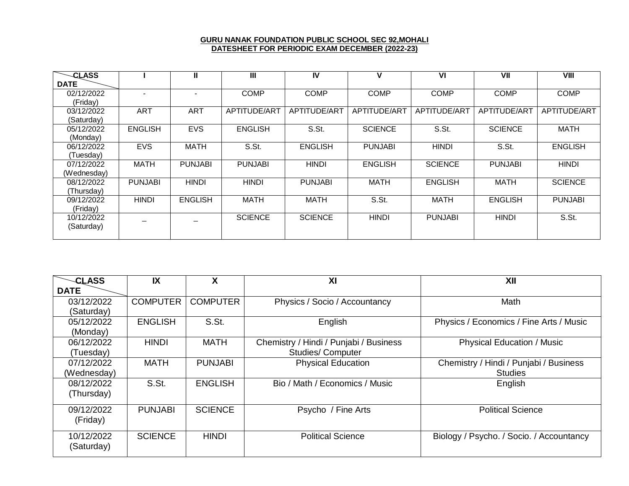## **GURU NANAK FOUNDATION PUBLIC SCHOOL SEC 92,MOHALI DATESHEET FOR PERIODIC EXAM DECEMBER (2022-23)**

| <b>CLASS</b> |                | Ш              | $\mathbf{III}$ | IV             | v              | VI             | VII            | VIII           |
|--------------|----------------|----------------|----------------|----------------|----------------|----------------|----------------|----------------|
| <b>DATE</b>  |                |                |                |                |                |                |                |                |
| 02/12/2022   |                |                | <b>COMP</b>    | <b>COMP</b>    | <b>COMP</b>    | <b>COMP</b>    | <b>COMP</b>    | <b>COMP</b>    |
| (Friday)     |                |                |                |                |                |                |                |                |
| 03/12/2022   | <b>ART</b>     | <b>ART</b>     | APTITUDE/ART   | APTITUDE/ART   | APTITUDE/ART   | APTITUDE/ART   | APTITUDE/ART   | APTITUDE/ART   |
| (Saturday)   |                |                |                |                |                |                |                |                |
| 05/12/2022   | <b>ENGLISH</b> | <b>EVS</b>     | <b>ENGLISH</b> | S.St.          | <b>SCIENCE</b> | S.St.          | <b>SCIENCE</b> | <b>MATH</b>    |
| (Monday)     |                |                |                |                |                |                |                |                |
| 06/12/2022   | <b>EVS</b>     | <b>MATH</b>    | S.St.          | <b>ENGLISH</b> | <b>PUNJABI</b> | <b>HINDI</b>   | S.St.          | <b>ENGLISH</b> |
| (Tuesdav)    |                |                |                |                |                |                |                |                |
| 07/12/2022   | <b>MATH</b>    | <b>PUNJABI</b> | <b>PUNJABI</b> | <b>HINDI</b>   | <b>ENGLISH</b> | <b>SCIENCE</b> | <b>PUNJABI</b> | <b>HINDI</b>   |
| (Wednesday)  |                |                |                |                |                |                |                |                |
| 08/12/2022   | <b>PUNJABI</b> | <b>HINDI</b>   | <b>HINDI</b>   | <b>PUNJABI</b> | <b>MATH</b>    | <b>ENGLISH</b> | <b>MATH</b>    | <b>SCIENCE</b> |
| (Thursday)   |                |                |                |                |                |                |                |                |
| 09/12/2022   | <b>HINDI</b>   | <b>ENGLISH</b> | <b>MATH</b>    | <b>MATH</b>    | S.St.          | <b>MATH</b>    | <b>ENGLISH</b> | <b>PUNJABI</b> |
| (Friday)     |                |                |                |                |                |                |                |                |
| 10/12/2022   |                |                | <b>SCIENCE</b> | <b>SCIENCE</b> | <b>HINDI</b>   | <b>PUNJABI</b> | <b>HINDI</b>   | S.St.          |
| (Saturday)   |                |                |                |                |                |                |                |                |
|              |                |                |                |                |                |                |                |                |

| <b>CLASS</b> | IX              | X               | XI                                     | XII                                      |
|--------------|-----------------|-----------------|----------------------------------------|------------------------------------------|
| <b>DATE</b>  |                 |                 |                                        |                                          |
| 03/12/2022   | <b>COMPUTER</b> | <b>COMPUTER</b> | Physics / Socio / Accountancy          | Math                                     |
| (Saturday)   |                 |                 |                                        |                                          |
| 05/12/2022   | <b>ENGLISH</b>  | S.St.           | English                                | Physics / Economics / Fine Arts / Music  |
| (Monday)     |                 |                 |                                        |                                          |
| 06/12/2022   | <b>HINDI</b>    | <b>MATH</b>     | Chemistry / Hindi / Punjabi / Business | <b>Physical Education / Music</b>        |
| (Tuesday)    |                 |                 | <b>Studies/Computer</b>                |                                          |
| 07/12/2022   | <b>MATH</b>     | <b>PUNJABI</b>  | <b>Physical Education</b>              | Chemistry / Hindi / Punjabi / Business   |
| (Wednesday)  |                 |                 |                                        | <b>Studies</b>                           |
| 08/12/2022   | S.St.           | <b>ENGLISH</b>  | Bio / Math / Economics / Music         | English                                  |
| (Thursday)   |                 |                 |                                        |                                          |
| 09/12/2022   | <b>PUNJABI</b>  | <b>SCIENCE</b>  | Psycho / Fine Arts                     | <b>Political Science</b>                 |
| (Friday)     |                 |                 |                                        |                                          |
| 10/12/2022   | <b>SCIENCE</b>  | <b>HINDI</b>    | <b>Political Science</b>               | Biology / Psycho. / Socio. / Accountancy |
| (Saturday)   |                 |                 |                                        |                                          |